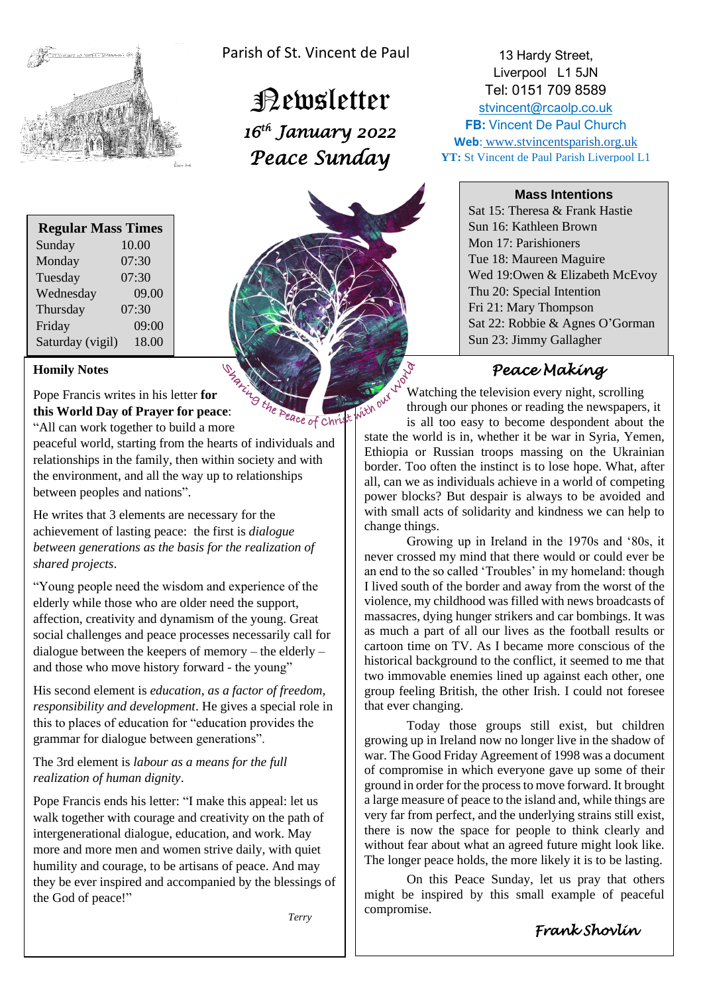

| <b>Regular Mass Times</b> |       |
|---------------------------|-------|
| Sunday                    | 10.00 |
| Monday                    | 07:30 |
| Tuesday                   | 07:30 |
| Wednesday                 | 09.00 |
| Thursday                  | 07:30 |
| Friday                    | 09:00 |
| Saturday (vigil)          | 18.00 |

### **Homily Notes**

Homily Notes<br>
Pope Francis writes in his letter for<br> **Pope Francis writes in his letter for**<br> **Pope Prayer for peace:**<br>  $\frac{P_{\alpha_{\ell}}}{P_{\ell}} = \frac{P_{\alpha_{\ell}}}{P_{\ell}} = \frac{P_{\alpha_{\ell}}}{P_{\ell}} = \frac{P_{\alpha_{\ell}}}{P_{\ell}} = \frac{P_{\alpha_{\ell}}}{P_{\ell}} = \frac{P_{\alpha_{\ell}}$ **this World Day of Prayer for peace**: "All can work together to build a more

peaceful world, starting from the hearts of individuals and relationships in the family, then within society and with the environment, and all the way up to relationships between peoples and nations".

He writes that 3 elements are necessary for the achievement of lasting peace: the first is *dialogue between generations as the basis for the realization of shared projects*.

"Young people need the wisdom and experience of the elderly while those who are older need the support, affection, creativity and dynamism of the young. Great social challenges and peace processes necessarily call for dialogue between the keepers of memory – the elderly – and those who move history forward - the young"

His second element is *education, as a factor of freedom, responsibility and development*. He gives a special role in this to places of education for "education provides the grammar for dialogue between generations".

The 3rd element is *labour as a means for the full realization of human dignity*.

Pope Francis ends his letter: "I make this appeal: let us walk together with courage and creativity on the path of intergenerational dialogue, education, and work. May more and more men and women strive daily, with quiet humility and courage, to be artisans of peace. And may they be ever inspired and accompanied by the blessings of the God of peace!"

*Terry*

Parish of St. Vincent de Paul

 Newsletter  *16th January 2022 Peace Sunday* 



13 Hardy Street, Liverpool L1 5JN Tel: 0151 709 8589

[stvincent@rcaolp.co.uk](mailto:stvincent@rcaolp.co.uk) **FB: Vincent De Paul Church** 

**Web**: www.stvincentsparish.org.uk **YT:** St Vincent de Paul Parish Liverpool L1

#### **Mass Intentions**

Sat 15: Theresa & Frank Hastie Sun 16: Kathleen Brown Mon 17: Parishioners Tue 18: Maureen Maguire Wed 19:Owen & Elizabeth McEvoy Thu 20: Special Intention Fri 21: Mary Thompson Sat 22: Robbie & Agnes O'Gorman Sun 23: Jimmy Gallagher

## *Peace Making*

Watching the television every night, scrolling through our phones or reading the newspapers, it

right over is all too easy to become despondent about the state the world is in, whether it be war in Syria, Yemen, Ethiopia or Russian troops massing on the Ukrainian border. Too often the instinct is to lose hope. What, after all, can we as individuals achieve in a world of competing power blocks? But despair is always to be avoided and with small acts of solidarity and kindness we can help to change things.

Growing up in Ireland in the 1970s and '80s, it never crossed my mind that there would or could ever be an end to the so called 'Troubles' in my homeland: though I lived south of the border and away from the worst of the violence, my childhood was filled with news broadcasts of massacres, dying hunger strikers and car bombings. It was as much a part of all our lives as the football results or cartoon time on TV. As I became more conscious of the historical background to the conflict, it seemed to me that two immovable enemies lined up against each other, one group feeling British, the other Irish. I could not foresee that ever changing.

Today those groups still exist, but children growing up in Ireland now no longer live in the shadow of war. The Good Friday Agreement of 1998 was a document of compromise in which everyone gave up some of their ground in order for the process to move forward. It brought a large measure of peace to the island and, while things are very far from perfect, and the underlying strains still exist, there is now the space for people to think clearly and without fear about what an agreed future might look like. The longer peace holds, the more likely it is to be lasting.

On this Peace Sunday, let us pray that others might be inspired by this small example of peaceful compromise.

## *Frank Shovlin*